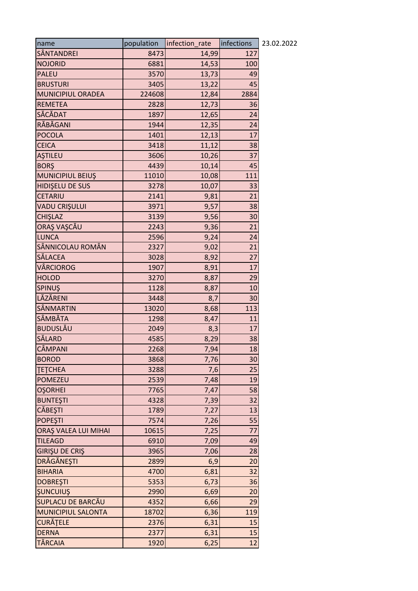| name                      | population | infection_rate | infections | 23.02.2022 |
|---------------------------|------------|----------------|------------|------------|
| SÂNTANDREI                | 8473       | 14,99          | 127        |            |
| <b>NOJORID</b>            | 6881       | 14,53          | 100        |            |
| <b>PALEU</b>              | 3570       | 13,73          | 49         |            |
| <b>BRUSTURI</b>           | 3405       | 13,22          | 45         |            |
| MUNICIPIUL ORADEA         | 224608     | 12,84          | 2884       |            |
| <b>REMETEA</b>            | 2828       | 12,73          | 36         |            |
| SĂCĂDAT                   | 1897       | 12,65          | 24         |            |
| RĂBĂGANI                  | 1944       | 12,35          | 24         |            |
| <b>POCOLA</b>             | 1401       | 12,13          | 17         |            |
| <b>CEICA</b>              | 3418       | 11,12          | 38         |            |
| <b>ASTILEU</b>            | 3606       | 10,26          | 37         |            |
| <b>BORŞ</b>               | 4439       | 10,14          | 45         |            |
| MUNICIPIUL BEIUŞ          | 11010      | 10,08          | 111        |            |
| <b>HIDISELU DE SUS</b>    | 3278       | 10,07          | 33         |            |
| <b>CETARIU</b>            | 2141       | 9,81           | 21         |            |
| VADU CRIŞULUI             | 3971       | 9,57           | 38         |            |
| CHIŞLAZ                   | 3139       | 9,56           | 30         |            |
| ORAȘ VAȘCĂU               | 2243       | 9,36           | 21         |            |
| <b>LUNCA</b>              | 2596       | 9,24           | 24         |            |
| SÂNNICOLAU ROMÂN          | 2327       | 9,02           | 21         |            |
| <b>SĂLACEA</b>            | 3028       | 8,92           | 27         |            |
| VÂRCIOROG                 | 1907       | 8,91           | 17         |            |
| <b>HOLOD</b>              | 3270       | 8,87           | 29         |            |
| SPINUŞ                    | 1128       | 8,87           | 10         |            |
| LĂZĂRENI                  | 3448       | 8,7            | 30         |            |
| SÂNMARTIN                 | 13020      | 8,68           | 113        |            |
| SÂMBĂTA                   | 1298       | 8,47           | 11         |            |
| <b>BUDUSLĂU</b>           | 2049       | 8,3            | 17         |            |
| SĂLARD                    | 4585       | 8,29           | 38         |            |
| <b>CÂMPANI</b>            | 2268       | 7,94           | 18         |            |
| <b>BOROD</b>              | 3868       | 7,76           | 30         |            |
| <b>TETCHEA</b>            | 3288       | 7,6            | 25         |            |
| <b>POMEZEU</b>            | 2539       | 7,48           | 19         |            |
| <b>OŞORHEI</b>            | 7765       | 7,47           | 58         |            |
| <b>BUNTEŞTI</b>           | 4328       | 7,39           | 32         |            |
| <b>CĂBEȘTI</b>            | 1789       | 7,27           | 13         |            |
| <b>POPESTI</b>            | 7574       | 7,26           | 55         |            |
| ORAȘ VALEA LUI MIHAI      | 10615      | 7,25           | 77         |            |
| <b>TILEAGD</b>            | 6910       | 7,09           | 49         |            |
| <b>GIRIŞU DE CRIŞ</b>     | 3965       | 7,06           | 28         |            |
| DRĂGĂNEȘTI                | 2899       | 6,9            | 20         |            |
| <b>BIHARIA</b>            | 4700       | 6,81           | 32         |            |
| <b>DOBREŞTI</b>           | 5353       | 6,73           | 36         |            |
| <b>ŞUNCUIUŞ</b>           | 2990       | 6,69           | 20         |            |
| SUPLACU DE BARCĂU         | 4352       | 6,66           | 29         |            |
| <b>MUNICIPIUL SALONTA</b> | 18702      | 6,36           | 119        |            |
| CURĂȚELE                  | 2376       | 6,31           | 15         |            |
| <b>DERNA</b>              | 2377       | 6,31           | 15         |            |
| <b>TĂRCAIA</b>            | 1920       | 6,25           | 12         |            |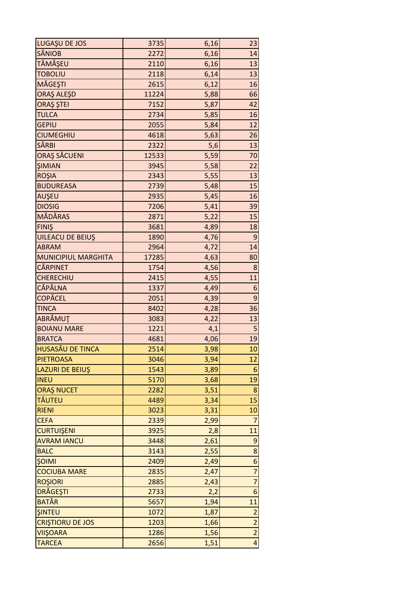| LUGAȘU DE JOS              | 3735  | 6,16 | 23                      |
|----------------------------|-------|------|-------------------------|
| <b>SÂNIOB</b>              | 2272  | 6,16 | 14                      |
| TĂMĂȘEU                    | 2110  | 6,16 | 13                      |
| <b>TOBOLIU</b>             | 2118  | 6,14 | 13                      |
| MĂGEȘTI                    | 2615  | 6,12 | 16                      |
| ORAŞ ALEŞD                 | 11224 | 5,88 | 66                      |
| ORAŞ ŞTEI                  | 7152  | 5,87 | 42                      |
| <b>TULCA</b>               | 2734  | 5,85 | 16                      |
| <b>GEPIU</b>               | 2055  | 5,84 | 12                      |
| <b>CIUMEGHIU</b>           | 4618  | 5,63 | 26                      |
| <b>SÂRBI</b>               | 2322  | 5,6  | 13                      |
| ORAȘ SĂCUENI               | 12533 | 5,59 | 70                      |
| <b>ŞIMIAN</b>              | 3945  | 5,58 | 22                      |
| <b>ROŞIA</b>               | 2343  | 5,55 | 13                      |
| <b>BUDUREASA</b>           | 2739  | 5,48 | 15                      |
| AUŞEU                      | 2935  | 5,45 | 16                      |
| <b>DIOSIG</b>              | 7206  | 5,41 | 39                      |
| <b>MĂDĂRAS</b>             | 2871  | 5,22 | 15                      |
| <b>FINIS</b>               | 3681  | 4,89 | 18                      |
| UILEACU DE BEIUŞ           | 1890  | 4,76 | $\boldsymbol{9}$        |
| <b>ABRAM</b>               | 2964  | 4,72 | 14                      |
| <b>MUNICIPIUL MARGHITA</b> | 17285 | 4,63 | 80                      |
| <b>CĂRPINET</b>            | 1754  | 4,56 | 8                       |
| <b>CHERECHIU</b>           | 2415  | 4,55 | 11                      |
| CĂPÂLNA                    | 1337  | 4,49 | 6                       |
| COPĂCEL                    | 2051  | 4,39 | 9                       |
| <b>TINCA</b>               | 8402  | 4,28 | 36                      |
| ABRĂMUT                    | 3083  | 4,22 | 13                      |
| <b>BOIANU MARE</b>         | 1221  | 4,1  | 5                       |
| <b>BRATCA</b>              | 4681  | 4,06 | 19                      |
| <b>HUSASĂU DE TINCA</b>    | 2514  | 3,98 | 10                      |
| <b>PIETROASA</b>           | 3046  | 3,94 | 12                      |
| <b>LAZURI DE BEIUŞ</b>     | 1543  | 3,89 | 6                       |
| <b>INEU</b>                | 5170  | 3,68 | 19                      |
| <b>ORAȘ NUCET</b>          | 2282  | 3,51 | 8                       |
| TĂUTEU                     | 4489  | 3,34 | 15                      |
| <b>RIENI</b>               | 3023  | 3,31 | 10                      |
| <b>CEFA</b>                | 2339  | 2,99 | $\overline{7}$          |
| <b>CURTUIŞENI</b>          | 3925  | 2,8  | 11                      |
| <b>AVRAM IANCU</b>         | 3448  | 2,61 | 9                       |
| <b>BALC</b>                | 3143  | 2,55 | 8                       |
| <b>ŞOIMI</b>               | 2409  | 2,49 | $\boldsymbol{6}$        |
| <b>COCIUBA MARE</b>        | 2835  | 2,47 | $\overline{7}$          |
| <b>ROŞIORI</b>             | 2885  | 2,43 | $\overline{7}$          |
| DRĂGEȘTI                   | 2733  | 2,2  | 6                       |
| <b>BATĂR</b>               | 5657  | 1,94 | 11                      |
| <b>SINTEU</b>              | 1072  | 1,87 | $\overline{a}$          |
| <b>CRISTIORU DE JOS</b>    | 1203  | 1,66 | $\overline{a}$          |
| <b>VIIŞOARA</b>            | 1286  | 1,56 | $\overline{2}$          |
| <b>TARCEA</b>              | 2656  | 1,51 | $\overline{\mathbf{r}}$ |